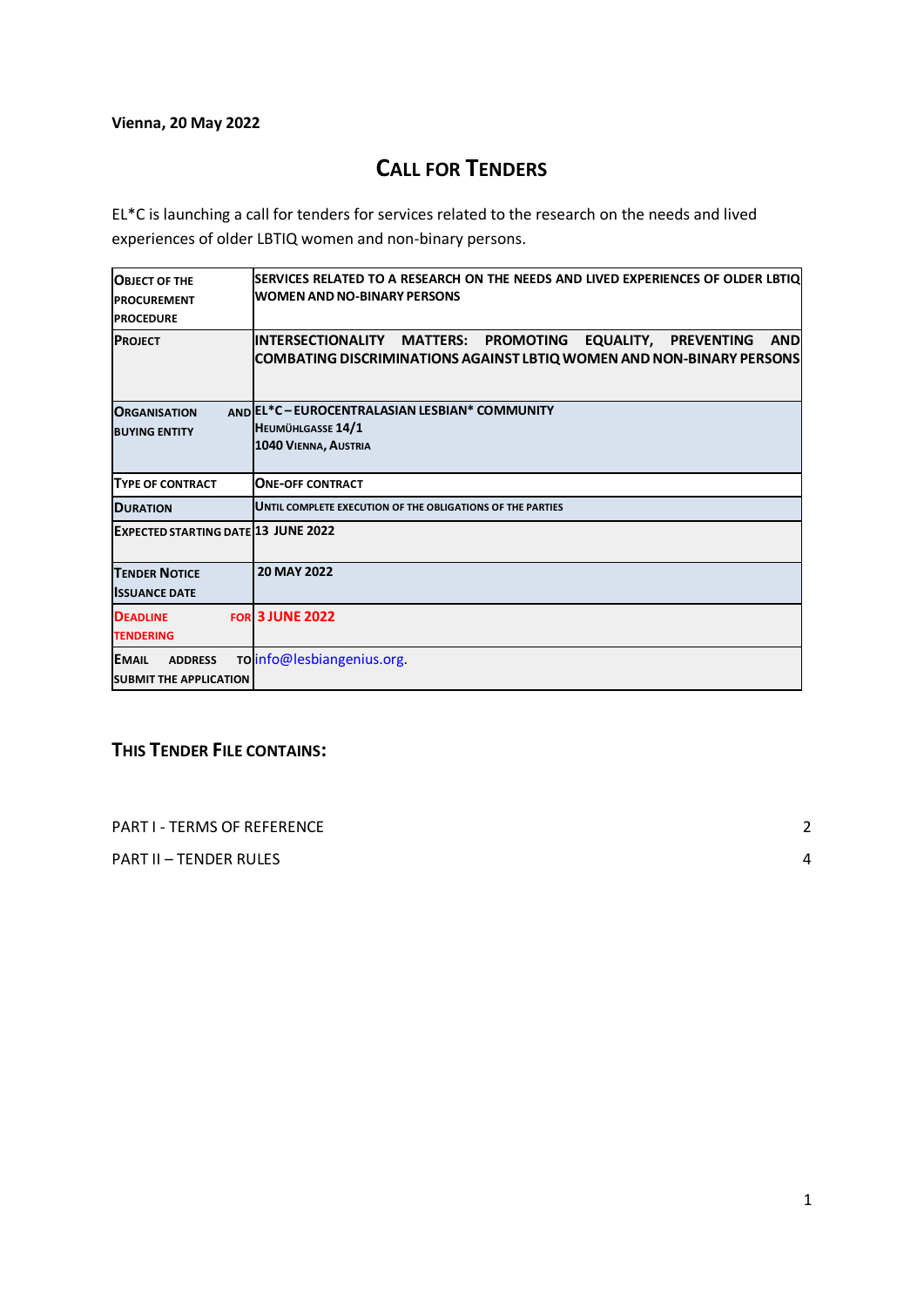## **Vienna, 20 May 2022**

# **CALL FOR TENDERS**

EL\*C is launching a call for tenders for services related to the research on the needs and lived experiences of older LBTIQ women and non-binary persons.

| <b>OBJECT OF THE</b><br><b>PROCUREMENT</b><br><b>PROCEDURE</b>  | SERVICES RELATED TO A RESEARCH ON THE NEEDS AND LIVED EXPERIENCES OF OLDER LBTIOL<br><b>WOMEN AND NO-BINARY PERSONS</b>                         |
|-----------------------------------------------------------------|-------------------------------------------------------------------------------------------------------------------------------------------------|
| <b>PROJECT</b>                                                  | <b>AND</b><br>INTERSECTIONALITY MATTERS: PROMOTING EQUALITY, PREVENTING<br>COMBATING DISCRIMINATIONS AGAINST LBTIQ WOMEN AND NON-BINARY PERSONS |
| <b>ORGANISATION</b><br><b>BUYING ENTITY</b>                     | AND EL*C - EUROCENTRALASIAN LESBIAN* COMMUNITY<br>HEUMÜHLGASSE 14/1<br>1040 VIENNA, AUSTRIA                                                     |
| <b>TYPE OF CONTRACT</b>                                         | <b>ONE-OFF CONTRACT</b>                                                                                                                         |
| <b>DURATION</b>                                                 | UNTIL COMPLETE EXECUTION OF THE OBLIGATIONS OF THE PARTIES                                                                                      |
| <b>EXPECTED STARTING DATE 13 JUNE 2022</b>                      |                                                                                                                                                 |
| <b>TENDER NOTICE</b><br><b>ISSUANCE DATE</b>                    | <b>20 MAY 2022</b>                                                                                                                              |
| <b>DEADLINE</b><br><b>TENDERING</b>                             | <b>FOR 3 JUNE 2022</b>                                                                                                                          |
| <b>EMAIL</b><br><b>ADDRESS</b><br><b>SUBMIT THE APPLICATION</b> | To info@lesbiangenius.org.                                                                                                                      |

# **THIS TENDER FILE CONTAINS:**

PART I - [TERMS OF REFERENCE](#page-1-0) 2

PART II – [TENDER RULES](#page-4-0) 4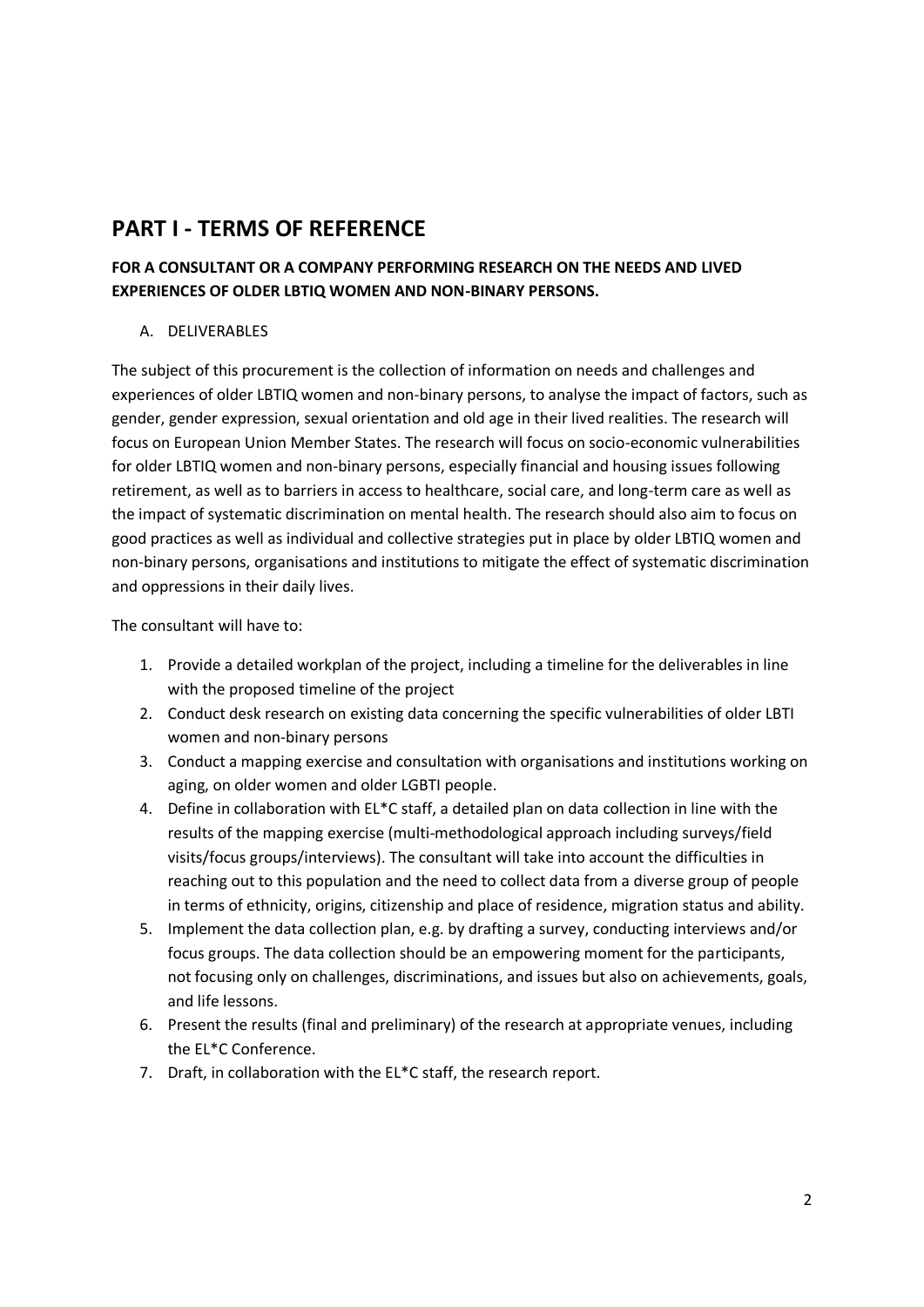# <span id="page-1-0"></span>**PART I - TERMS OF REFERENCE**

## **FOR A CONSULTANT OR A COMPANY PERFORMING RESEARCH ON THE NEEDS AND LIVED EXPERIENCES OF OLDER LBTIQ WOMEN AND NON-BINARY PERSONS.**

## A. DELIVERABLES

The subject of this procurement is the collection of information on needs and challenges and experiences of older LBTIQ women and non-binary persons, to analyse the impact of factors, such as gender, gender expression, sexual orientation and old age in their lived realities. The research will focus on European Union Member States. The research will focus on socio-economic vulnerabilities for older LBTIQ women and non-binary persons, especially financial and housing issues following retirement, as well as to barriers in access to healthcare, social care, and long-term care as well as the impact of systematic discrimination on mental health. The research should also aim to focus on good practices as well as individual and collective strategies put in place by older LBTIQ women and non-binary persons, organisations and institutions to mitigate the effect of systematic discrimination and oppressions in their daily lives.

The consultant will have to:

- 1. Provide a detailed workplan of the project, including a timeline for the deliverables in line with the proposed timeline of the project
- 2. Conduct desk research on existing data concerning the specific vulnerabilities of older LBTI women and non-binary persons
- 3. Conduct a mapping exercise and consultation with organisations and institutions working on aging, on older women and older LGBTI people.
- 4. Define in collaboration with EL\*C staff, a detailed plan on data collection in line with the results of the mapping exercise (multi-methodological approach including surveys/field visits/focus groups/interviews). The consultant will take into account the difficulties in reaching out to this population and the need to collect data from a diverse group of people in terms of ethnicity, origins, citizenship and place of residence, migration status and ability.
- 5. Implement the data collection plan, e.g. by drafting a survey, conducting interviews and/or focus groups. The data collection should be an empowering moment for the participants, not focusing only on challenges, discriminations, and issues but also on achievements, goals, and life lessons.
- 6. Present the results (final and preliminary) of the research at appropriate venues, including the EL\*C Conference.
- 7. Draft, in collaboration with the EL\*C staff, the research report.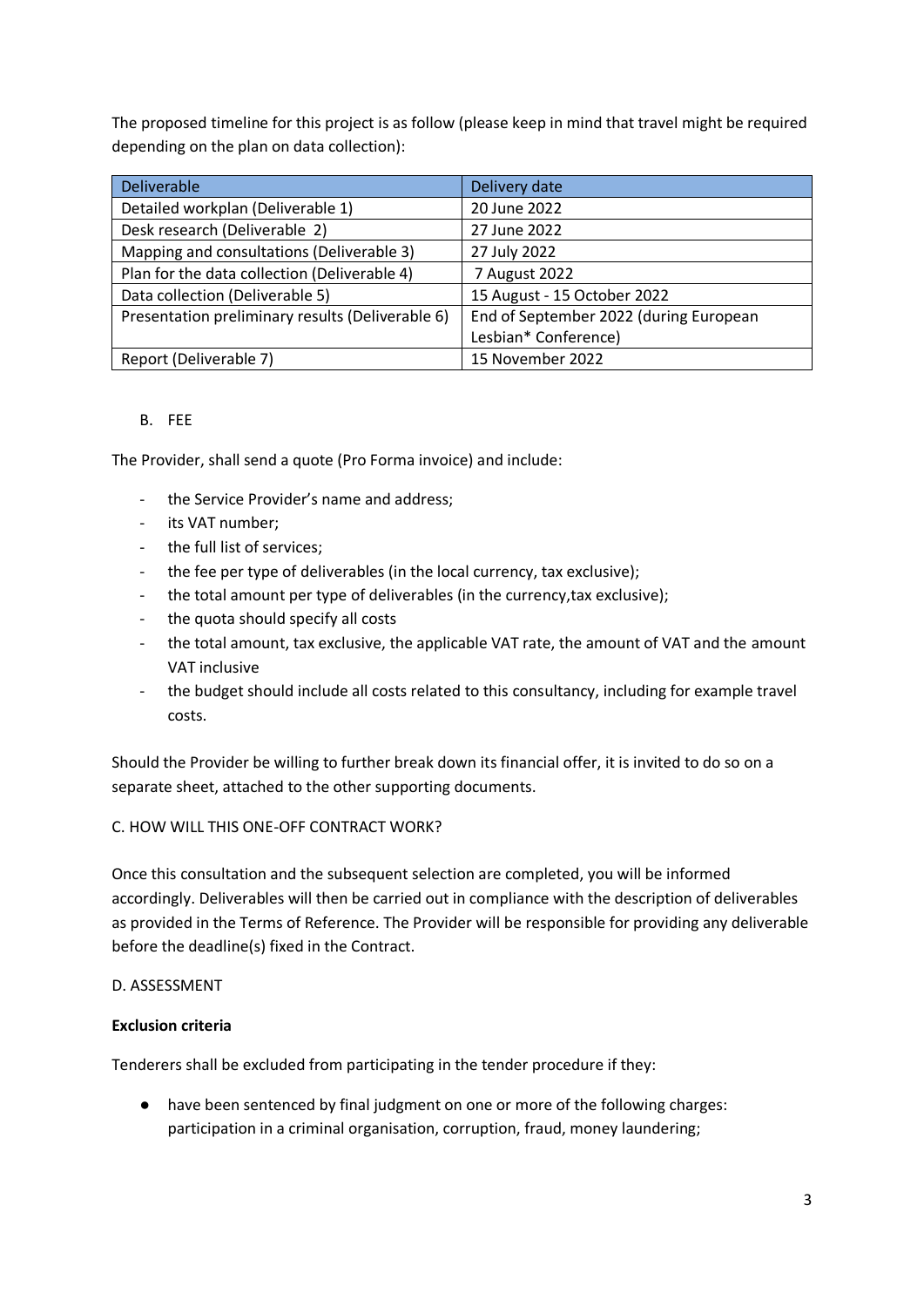The proposed timeline for this project is as follow (please keep in mind that travel might be required depending on the plan on data collection):

| <b>Deliverable</b>                               | Delivery date                          |
|--------------------------------------------------|----------------------------------------|
| Detailed workplan (Deliverable 1)                | 20 June 2022                           |
| Desk research (Deliverable 2)                    | 27 June 2022                           |
| Mapping and consultations (Deliverable 3)        | 27 July 2022                           |
| Plan for the data collection (Deliverable 4)     | 7 August 2022                          |
| Data collection (Deliverable 5)                  | 15 August - 15 October 2022            |
| Presentation preliminary results (Deliverable 6) | End of September 2022 (during European |
|                                                  | Lesbian* Conference)                   |
| Report (Deliverable 7)                           | 15 November 2022                       |

## B. FEE

The Provider, shall send a quote (Pro Forma invoice) and include:

- the Service Provider's name and address;
- its VAT number;
- the full list of services;
- the fee per type of deliverables (in the local currency, tax exclusive);
- the total amount per type of deliverables (in the currency, tax exclusive);
- the quota should specify all costs
- the total amount, tax exclusive, the applicable VAT rate, the amount of VAT and the amount VAT inclusive
- the budget should include all costs related to this consultancy, including for example travel costs.

Should the Provider be willing to further break down its financial offer, it is invited to do so on a separate sheet, attached to the other supporting documents.

## C. HOW WILL THIS ONE-OFF CONTRACT WORK?

Once this consultation and the subsequent selection are completed, you will be informed accordingly. Deliverables will then be carried out in compliance with the description of deliverables as provided in the Terms of Reference. The Provider will be responsible for providing any deliverable before the deadline(s) fixed in the Contract.

## D. ASSESSMENT

## **Exclusion criteria**

Tenderers shall be excluded from participating in the tender procedure if they:

● have been sentenced by final judgment on one or more of the following charges: participation in a criminal organisation, corruption, fraud, money laundering;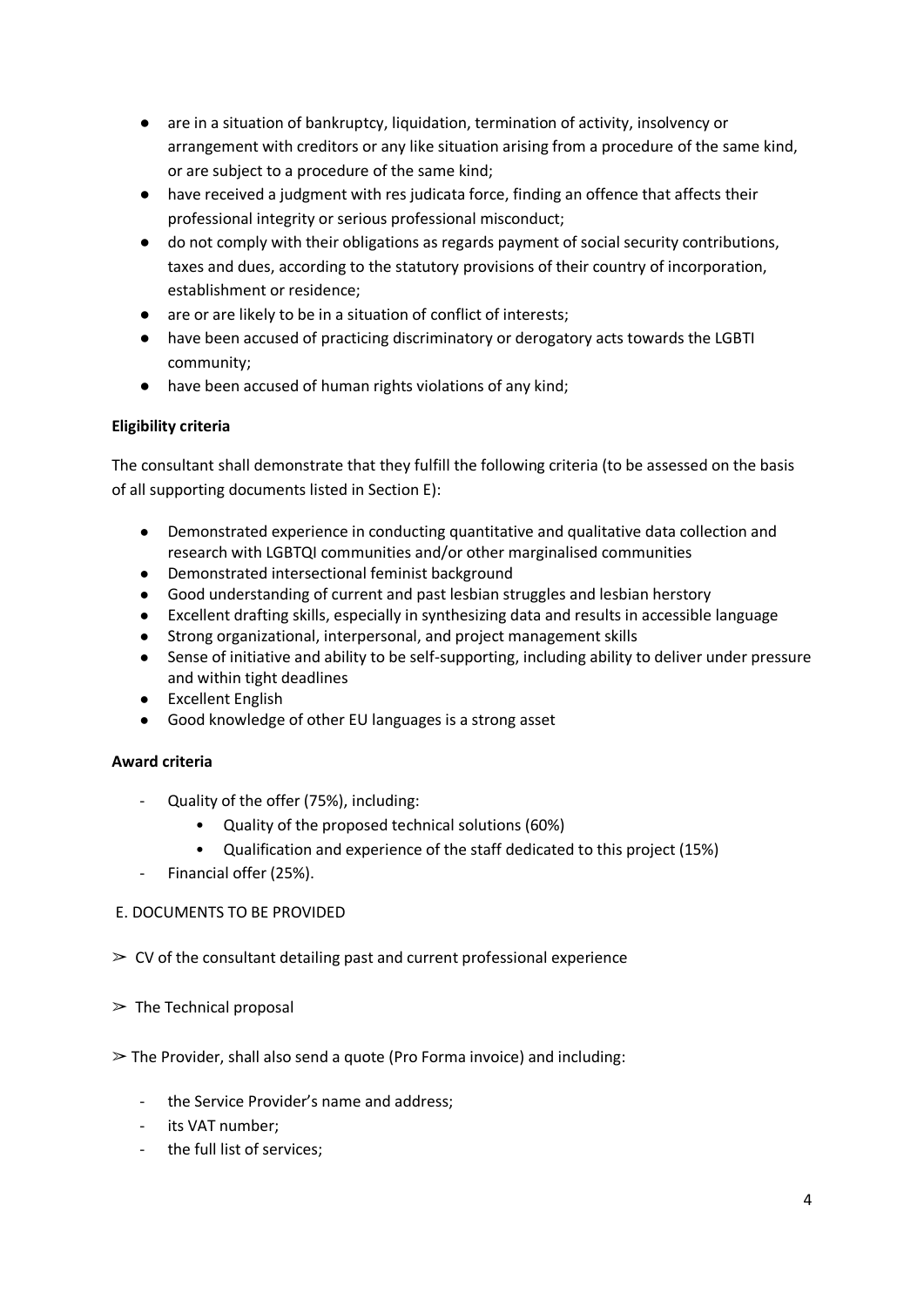- are in a situation of bankruptcy, liquidation, termination of activity, insolvency or arrangement with creditors or any like situation arising from a procedure of the same kind, or are subject to a procedure of the same kind;
- have received a judgment with res judicata force, finding an offence that affects their professional integrity or serious professional misconduct;
- do not comply with their obligations as regards payment of social security contributions, taxes and dues, according to the statutory provisions of their country of incorporation, establishment or residence;
- are or are likely to be in a situation of conflict of interests;
- have been accused of practicing discriminatory or derogatory acts towards the LGBTI community;
- have been accused of human rights violations of any kind;

## **Eligibility criteria**

The consultant shall demonstrate that they fulfill the following criteria (to be assessed on the basis of all supporting documents listed in Section E):

- Demonstrated experience in conducting quantitative and qualitative data collection and research with LGBTQI communities and/or other marginalised communities
- Demonstrated intersectional feminist background
- Good understanding of current and past lesbian struggles and lesbian herstory
- Excellent drafting skills, especially in synthesizing data and results in accessible language
- Strong organizational, interpersonal, and project management skills
- Sense of initiative and ability to be self-supporting, including ability to deliver under pressure and within tight deadlines
- Excellent English
- Good knowledge of other EU languages is a strong asset

## **Award criteria**

- Quality of the offer (75%), including:
	- Quality of the proposed technical solutions (60%)
	- Qualification and experience of the staff dedicated to this project (15%)
- Financial offer (25%).

## E. DOCUMENTS TO BE PROVIDED

- $\geq$  CV of the consultant detailing past and current professional experience
- $\geq$  The Technical proposal

## $\geq$  The Provider, shall also send a quote (Pro Forma invoice) and including:

- the Service Provider's name and address;
- its VAT number;
- the full list of services;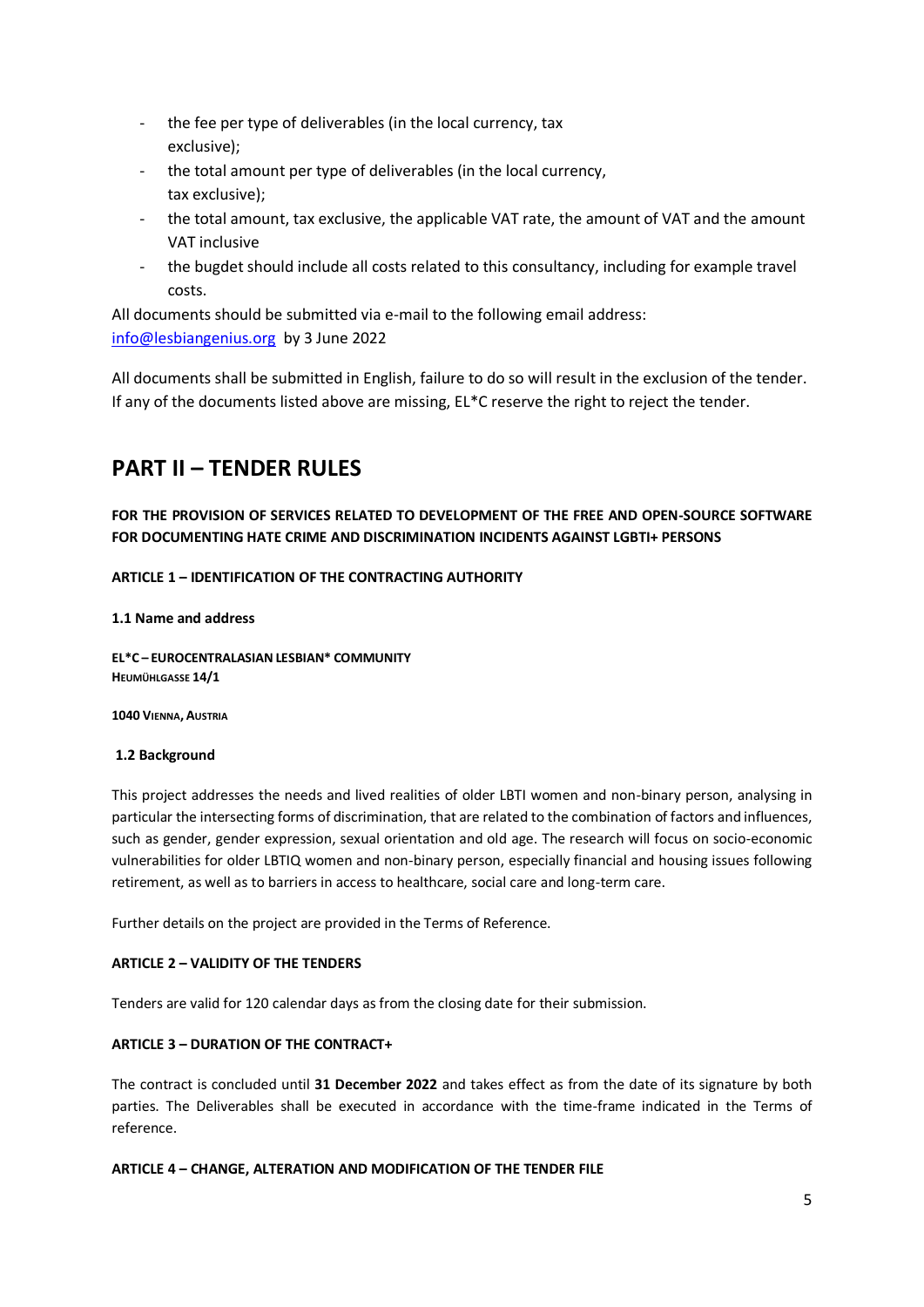- the fee per type of deliverables (in the local currency, tax exclusive);
- the total amount per type of deliverables (in the local currency, tax exclusive);
- the total amount, tax exclusive, the applicable VAT rate, the amount of VAT and the amount VAT inclusive
- the bugdet should include all costs related to this consultancy, including for example travel costs.

All documents should be submitted via e-mail to the following email address: info@lesbiangenius.org by 3 June 2022

All documents shall be submitted in English, failure to do so will result in the exclusion of the tender. If any of the documents listed above are missing, EL\*C reserve the right to reject the tender.

# <span id="page-4-0"></span>**PART II – TENDER RULES**

**FOR THE PROVISION OF SERVICES RELATED TO DEVELOPMENT OF THE FREE AND OPEN-SOURCE SOFTWARE FOR DOCUMENTING HATE CRIME AND DISCRIMINATION INCIDENTS AGAINST LGBTI+ PERSONS** 

## **ARTICLE 1 – IDENTIFICATION OF THE CONTRACTING AUTHORITY**

#### **1.1 Name and address**

**EL\*C – EUROCENTRALASIAN LESBIAN\* COMMUNITY HEUMÜHLGASSE 14/1**

**1040 VIENNA, AUSTRIA**

#### **1.2 Background**

This project addresses the needs and lived realities of older LBTI women and non-binary person, analysing in particular the intersecting forms of discrimination, that are related to the combination of factors and influences, such as gender, gender expression, sexual orientation and old age. The research will focus on socio-economic vulnerabilities for older LBTIQ women and non-binary person, especially financial and housing issues following retirement, as well as to barriers in access to healthcare, social care and long-term care.

Further details on the project are provided in the Terms of Reference.

#### **ARTICLE 2 – VALIDITY OF THE TENDERS**

Tenders are valid for 120 calendar days as from the closing date for their submission.

## **ARTICLE 3 – DURATION OF THE CONTRACT+**

The contract is concluded until **31 December 2022** and takes effect as from the date of its signature by both parties. The Deliverables shall be executed in accordance with the time-frame indicated in the Terms of reference.

#### **ARTICLE 4 – CHANGE, ALTERATION AND MODIFICATION OF THE TENDER FILE**